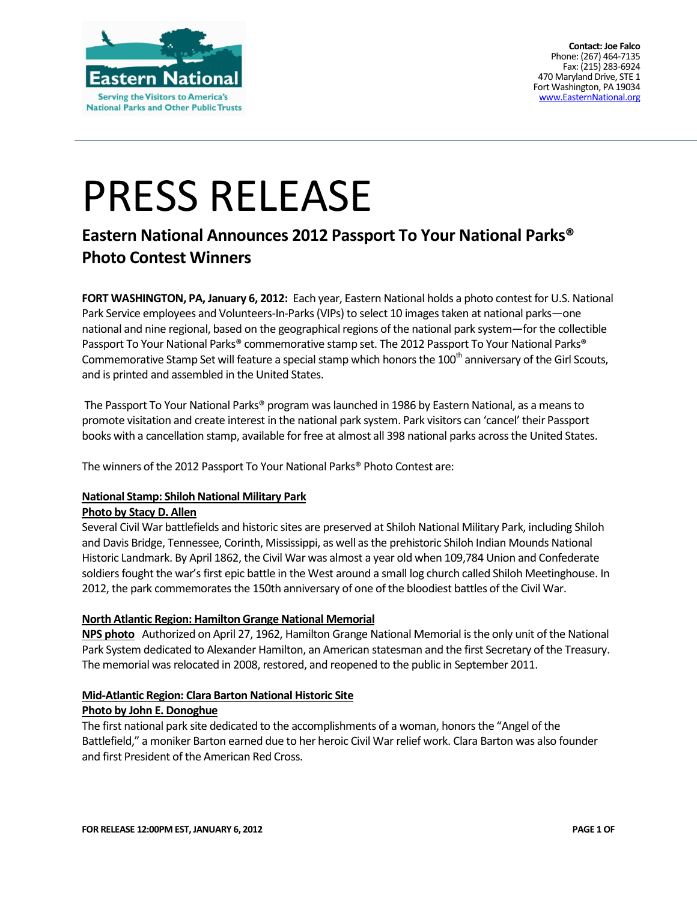

**Contact: Joe Falco** Phone: (267) 464-7135 Fax: (215) 283-6924 470 Maryland Drive, STE 1 Fort Washington, PA 19034 [www.EasternNational.org](http://www.easternnational.org/)

# PRESS RELEASE

## **Eastern National Announces 2012 Passport To Your National Parks® Photo Contest Winners**

**FORT WASHINGTON, PA, January 6, 2012:** Each year, Eastern National holds a photo contest for U.S. National Park Service employees and Volunteers-In-Parks (VIPs) to select 10 images taken at national parks—one national and nine regional, based on the geographical regions of the national park system—for the collectible Passport To Your National Parks® commemorative stamp set. The 2012 Passport To Your National Parks® Commemorative Stamp Set will feature a special stamp which honors the 100<sup>th</sup> anniversary of the Girl Scouts, and is printed and assembled in the United States.

The Passport To Your National Parks® program was launched in 1986 by Eastern National, as a means to promote visitation and create interest in the national park system. Park visitors can 'cancel' their Passport books with a cancellation stamp, available for free at almost all 398 national parks across the United States.

The winners of the 2012 Passport To Your National Parks® Photo Contest are:

#### **National Stamp: Shiloh National Military Park**

#### **Photo by Stacy D. Allen**

Several Civil War battlefields and historic sites are preserved at Shiloh National Military Park, including Shiloh and Davis Bridge, Tennessee, Corinth, Mississippi, as well as the prehistoric Shiloh Indian Mounds National Historic Landmark. By April 1862, the Civil War was almost a year old when 109,784 Union and Confederate soldiers fought the war's first epic battle in the West around a small log church called Shiloh Meetinghouse. In 2012, the park commemorates the 150th anniversary of one of the bloodiest battles of the Civil War.

#### **North Atlantic Region: Hamilton Grange National Memorial**

**NPS photo** Authorized on April 27, 1962, Hamilton Grange National Memorial is the only unit of the National Park System dedicated to Alexander Hamilton, an American statesman and the first Secretary of the Treasury. The memorial was relocated in 2008, restored, and reopened to the public in September 2011.

#### **Mid-Atlantic Region: Clara Barton National Historic Site**

#### **Photo by John E. Donoghue**

The first national park site dedicated to the accomplishments of a woman, honors the "Angel of the Battlefield," a moniker Barton earned due to her heroic Civil War relief work. Clara Barton was also founder and first President of the American Red Cross.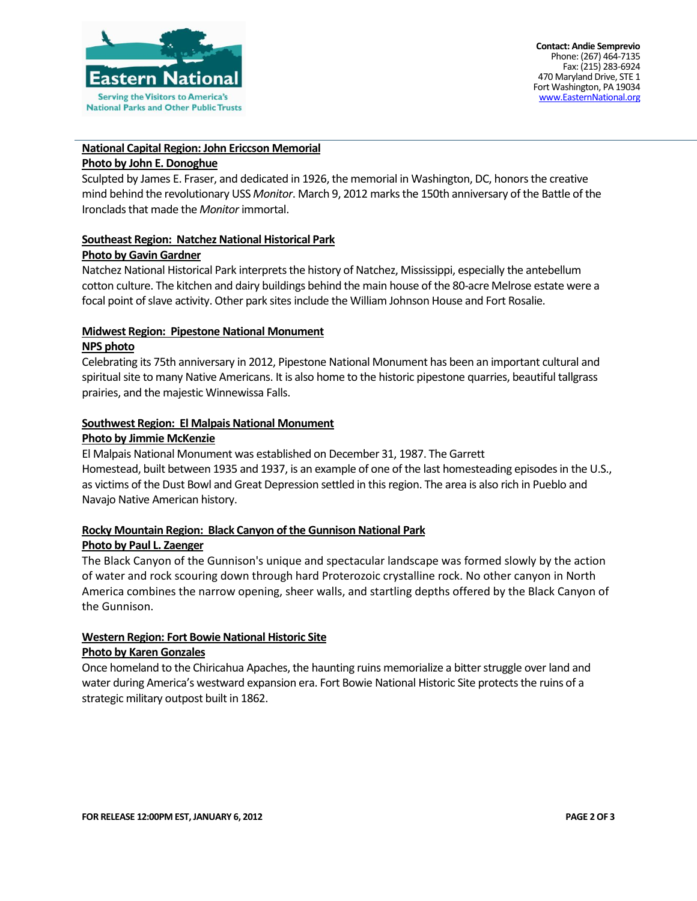

#### **National Capital Region: John Ericcson Memorial**

#### **Photo by John E. Donoghue**

Sculpted by James E. Fraser, and dedicated in 1926, the memorial in Washington, DC, honors the creative mind behind the revolutionary USS *Monitor*. March 9, 2012 marks the 150th anniversary of the Battle of the Ironclads that made the *Monitor* immortal.

#### **Southeast Region: Natchez National Historical Park**

#### **Photo by Gavin Gardner**

Natchez National Historical Park interprets the history of Natchez, Mississippi, especially the antebellum cotton culture. The kitchen and dairy buildings behind the main house of the 80-acre Melrose estate were a focal point of slave activity. Other park sites include the William Johnson House and Fort Rosalie.

#### **Midwest Region: Pipestone National Monument**

#### **NPS photo**

Celebrating its 75th anniversary in 2012, Pipestone National Monument has been an important cultural and spiritual site to many Native Americans. It is also home to the historic pipestone quarries, beautiful tallgrass prairies, and the majestic Winnewissa Falls.

### **Southwest Region: El Malpais National Monument**

#### **Photo by Jimmie McKenzie**

El Malpais National Monument was established on December 31, 1987. The Garrett Homestead, built between 1935 and 1937, is an example of one of the last homesteading episodes in the U.S., as victims of the Dust Bowl and Great Depression settled in this region. The area is also rich in Pueblo and Navajo Native American history.

#### **Rocky Mountain Region: Black Canyon of the Gunnison National Park**

#### **Photo by Paul L. Zaenger**

The Black Canyon of the Gunnison's unique and spectacular landscape was formed slowly by the action of water and rock scouring down through hard Proterozoic crystalline rock. No other canyon in North America combines the narrow opening, sheer walls, and startling depths offered by the Black Canyon of the Gunnison.

#### **Western Region: Fort Bowie National Historic Site**

#### **Photo by Karen Gonzales**

Once homeland to the Chiricahua Apaches, the haunting ruins memorialize a bitter struggle over land and water during America's westward expansion era. Fort Bowie National Historic Site protects the ruins of a strategic military outpost built in 1862.